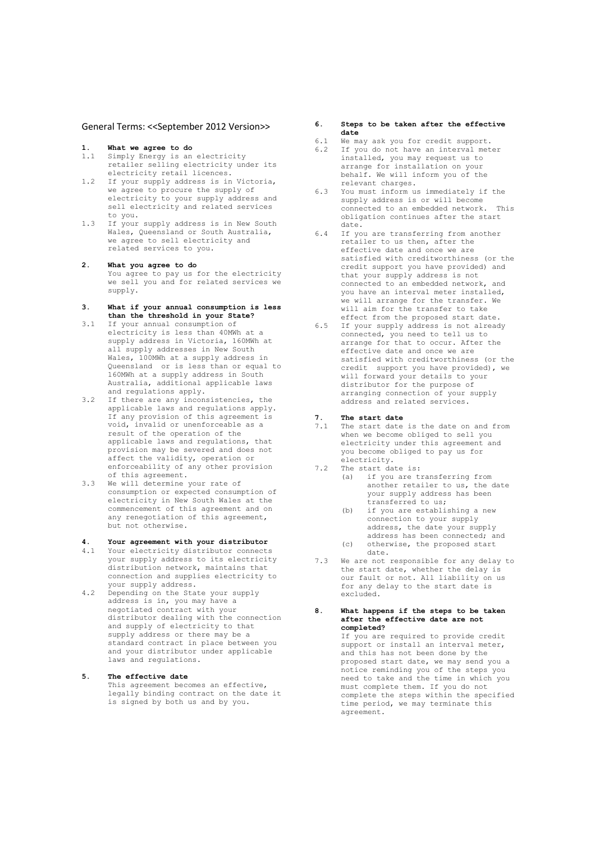# General Terms: <<September 2012 Version>>

- **1. What we agree to do**
- 1.1 Simply Energy is an electricity retailer selling electricity under its electricity retail licences.
- 1.2 If your supply address is in Victoria, we agree to procure the supply of electricity to your supply address and sell electricity and related services to you.
- 1.3 If your supply address is in New South Wales, Queensland or South Australia, we agree to sell electricity and related services to you.

#### **2. What you agree to do**

You agree to pay us for the electricity we sell you and for related services we supply.

- **3. What if your annual consumption is less than the threshold in your State?**
- 3.1 If your annual consumption of electricity is less than 40MWh at a supply address in Victoria, 160MWh at all supply addresses in New South Wales, 100MWh at a supply address in Queensland or is less than or equal to 160MWh at a supply address in South Australia, additional applicable laws and regulations apply.
- 3.2 If there are any inconsistencies, the applicable laws and regulations apply. If any provision of this agreement is void, invalid or unenforceable as a result of the operation of the applicable laws and regulations, that provision may be severed and does not affect the validity, operation or enforceability of any other provision of this agreement.
- 3.3 We will determine your rate of consumption or expected consumption of electricity in New South Wales at the commencement of this agreement and on any renegotiation of this agreement, but not otherwise.

# **4. Your agreement with your distributor**

- Your electricity distributor connects your supply address to its electricity distribution network, maintains that connection and supplies electricity to your supply address.
- 4.2 Depending on the State your supply address is in, you may have a negotiated contract with your distributor dealing with the connection and supply of electricity to that supply address or there may be a standard contract in place between you and your distributor under applicable laws and regulations.
- **5. The effective date** This agreement becomes an effective, legally binding contract on the date it is signed by both us and by you.

# **6. Steps to be taken after the effective date**

- 6.1 We may ask you for credit support.
- 6.2 If you do not have an interval meter installed, you may request us to arrange for installation on your behalf. We will inform you of the relevant charges.
- 6.3 You must inform us immediately if the supply address is or will become connected to an embedded network. This obligation continues after the start date.
- 6.4 If you are transferring from another retailer to us then, after the effective date and once we are satisfied with creditworthiness (or the credit support you have provided) and that your supply address is not connected to an embedded network, and you have an interval meter installed, we will arrange for the transfer. We will aim for the transfer to take effect from the proposed start date.
- 6.5 If your supply address is not already connected, you need to tell us to arrange for that to occur. After the effective date and once we are satisfied with creditworthiness (or the credit support you have provided), we will forward your details to your distributor for the purpose of arranging connection of your supply address and related services.

- **7. The start date** The start date is the date on and from when we become obliged to sell you electricity under this agreement and you become obliged to pay us for electricity.
- 7.2 The start date is:<br>(a) if you are t
	- if you are transferring from another retailer to us, the date your supply address has been transferred to us;
	- (b) if you are establishing a new connection to your supply address, the date your supply address has been connected; and (c) otherwise, the proposed start
- date. 7.3 We are not responsible for any delay to
- the start date, whether the delay is our fault or not. All liability on us for any delay to the start date is excluded.
- **8**. **What happens if the steps to be taken after the effective date are not completed?**

If you are required to provide credit support or install an interval meter, and this has not been done by the proposed start date, we may send you a notice reminding you of the steps you need to take and the time in which you must complete them. If you do not complete the steps within the specified time period, we may terminate this agreement.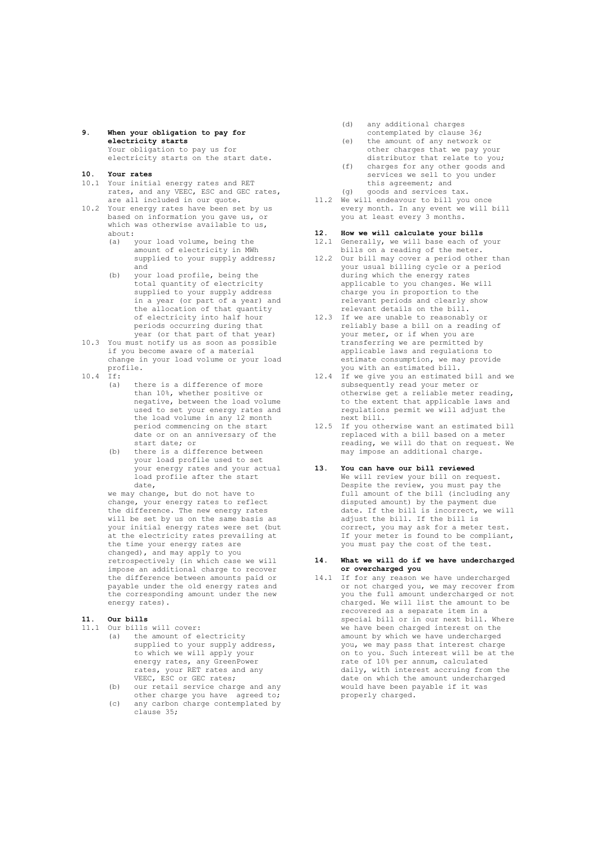- **9**. **When your obligation to pay for electricity starts** Your obligation to pay us for electricity starts on the start date.
- **10. Your rates**
- 10.1 Your initial energy rates and RET rates, and any VEEC, ESC and GEC rates, are all included in our quote.
- 10.2 Your energy rates have been set by us based on information you gave us, or which was otherwise available to us, about:
	- (a) your load volume, being the amount of electricity in MWh supplied to your supply address; and
	- (b) your load profile, being the total quantity of electricity supplied to your supply address in a year (or part of a year) and the allocation of that quantity of electricity into half hour periods occurring during that year (or that part of that year)
- 10.3 You must notify us as soon as possible if you become aware of a material change in your load volume or your load profile.
- 10.4 If:
	- (a) there is a difference of more than 10%, whether positive or negative, between the load volume used to set your energy rates and the load volume in any 12 month period commencing on the start date or on an anniversary of the start date; or
	- (b) there is a difference between your load profile used to set your energy rates and your actual load profile after the start date,

we may change, but do not have to change, your energy rates to reflect the difference. The new energy rates will be set by us on the same basis as your initial energy rates were set (but at the electricity rates prevailing at the time your energy rates are changed), and may apply to you retrospectively (in which case we will impose an additional charge to recover the difference between amounts paid or payable under the old energy rates and the corresponding amount under the new energy rates).

# **11. Our bills**

11.1 Our bills will cover:

- (a) the amount of electricity supplied to your supply address, to which we will apply your energy rates, any GreenPower rates, your RET rates and any VEEC, ESC or GEC rates;
- (b) our retail service charge and any other charge you have agreed to;
- (c) any carbon charge contemplated by clause 35;
- (d) any additional charges contemplated by clause 36;
- (e) the amount of any network or other charges that we pay your distributor that relate to you;
- (f) charges for any other goods and services we sell to you under this agreement; and (g) goods and services tax.
- 11.2 We will endeavour to bill you once every month. In any event we will bill you at least every 3 months.

# **12. How we will calculate your bills**

- 12.1 Generally, we will base each of your bills on a reading of the meter.
- 12.2 Our bill may cover a period other than your usual billing cycle or a period during which the energy rates applicable to you changes. We will charge you in proportion to the relevant periods and clearly show relevant details on the bill.
- 12.3 If we are unable to reasonably or reliably base a bill on a reading of your meter, or if when you are transferring we are permitted by applicable laws and regulations to estimate consumption, we may provide you with an estimated bill.
- 12.4 If we give you an estimated bill and we subsequently read your meter or otherwise get a reliable meter reading, to the extent that applicable laws and regulations permit we will adjust the next bill.
- 12.5 If you otherwise want an estimated bill replaced with a bill based on a meter reading, we will do that on request. We may impose an additional charge.

# **13. You can have our bill reviewed**

We will review your bill on request. Despite the review, you must pay the full amount of the bill (including any disputed amount) by the payment due date. If the bill is incorrect, we will adjust the bill. If the bill is correct, you may ask for a meter test. If your meter is found to be compliant, you must pay the cost of the test.

#### **14. What we will do if we have undercharged or overcharged you**

14.1 If for any reason we have undercharged or not charged you, we may recover from you the full amount undercharged or not charged. We will list the amount to be recovered as a separate item in a special bill or in our next bill. Where we have been charged interest on the amount by which we have undercharged you, we may pass that interest charge on to you. Such interest will be at the rate of 10% per annum, calculated daily, with interest accruing from the date on which the amount undercharged would have been payable if it was properly charged.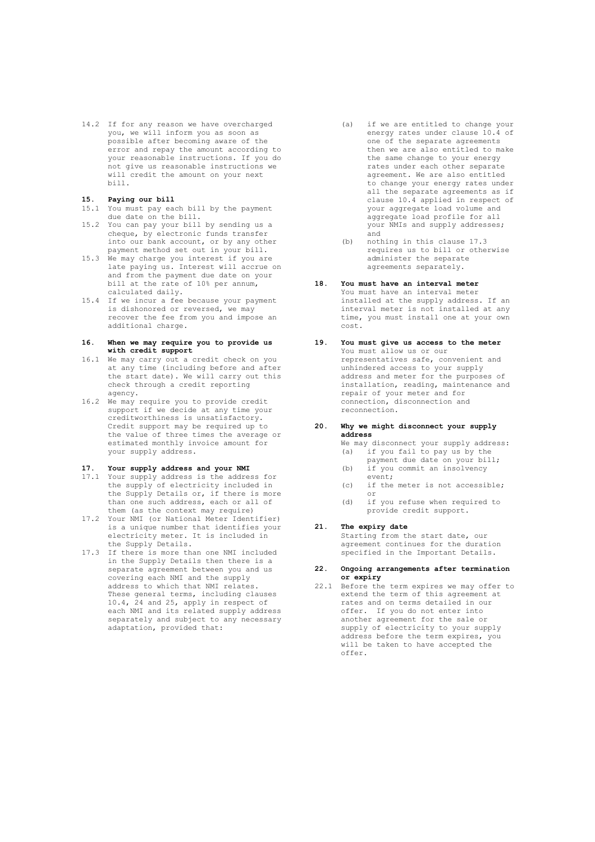14.2 If for any reason we have overcharged you, we will inform you as soon as possible after becoming aware of the error and repay the amount according to your reasonable instructions. If you do not give us reasonable instructions we will credit the amount on your next bill.

#### **15. Paying our bill**

- 15.1 You must pay each bill by the payment due date on the bill.
- 15.2 You can pay your bill by sending us a cheque, by electronic funds transfer into our bank account, or by any other payment method set out in your bill.
- 15.3 We may charge you interest if you are late paying us. Interest will accrue on and from the payment due date on your bill at the rate of 10% per annum, calculated daily.
- 15.4 If we incur a fee because your payment is dishonored or reversed, we may recover the fee from you and impose an additional charge.

# **16. When we may require you to provide us with credit support**

- 16.1 We may carry out a credit check on you at any time (including before and after the start date). We will carry out this check through a credit reporting agency.
- 16.2 We may require you to provide credit support if we decide at any time your creditworthiness is unsatisfactory. Credit support may be required up to the value of three times the average or estimated monthly invoice amount for your supply address.

# **17. Your supply address and your NMI**

- 17.1 Your supply address is the address for the supply of electricity included in the Supply Details or, if there is more than one such address, each or all of them (as the context may require)
- 17.2 Your NMI (or National Meter Identifier) is a unique number that identifies your electricity meter. It is included in the Supply Details.
- 17.3 If there is more than one NMI included in the Supply Details then there is a separate agreement between you and us covering each NMI and the supply address to which that NMI relates. These general terms, including clauses 10.4, 24 and 25, apply in respect of each NMI and its related supply address separately and subject to any necessary adaptation, provided that:
- (a) if we are entitled to change your energy rates under clause 10.4 of one of the separate agreements then we are also entitled to make the same change to your energy rates under each other separate agreement. We are also entitled to change your energy rates under all the separate agreements as if clause 10.4 applied in respect of your aggregate load volume and aggregate load profile for all your NMIs and supply addresses; and
- (b) nothing in this clause 17.3 requires us to bill or otherwise administer the separate agreements separately.

# **18. You must have an interval meter**

You must have an interval meter installed at the supply address. If an interval meter is not installed at any time, you must install one at your own cost.

# **19. You must give us access to the meter** You must allow us or our representatives safe, convenient and unhindered access to your supply address and meter for the purposes of installation, reading, maintenance and repair of your meter and for connection, disconnection and reconnection.

# **20. Why we might disconnect your supply address**

We may disconnect your supply address:<br>(a) if you fail to pay us by the if you fail to pay us by the

- payment due date on your bill; (b) if you commit an insolvency
- event; (c) if the meter is not accessible; or
- (d) if you refuse when required to provide credit support.

# **21. The expiry date**

Starting from the start date, our agreement continues for the duration specified in the Important Details.

# **22. Ongoing arrangements after termination or expiry**

22.1 Before the term expires we may offer to extend the term of this agreement at rates and on terms detailed in our offer. If you do not enter into another agreement for the sale or supply of electricity to your supply address before the term expires, you will be taken to have accepted the offer.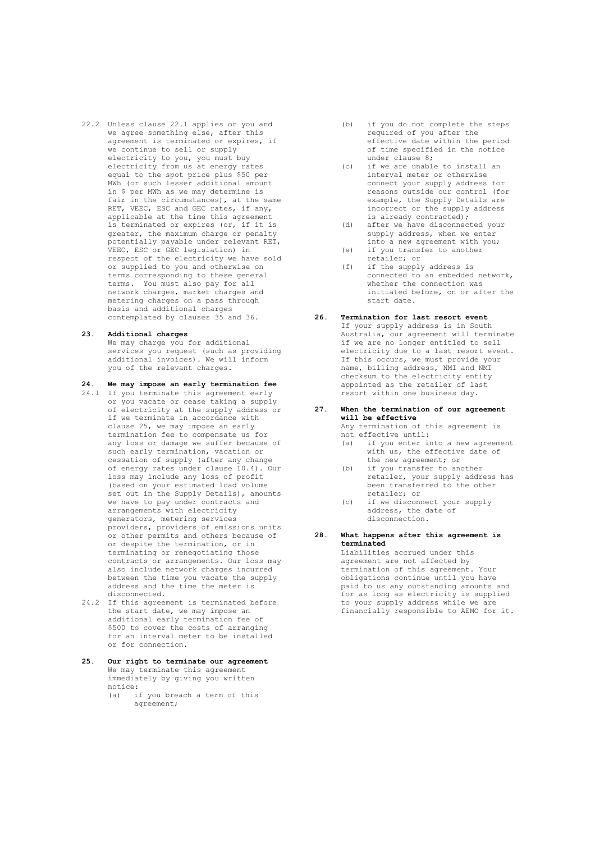22.2 Unless clause 22.1 applies or you and we agree something else, after this agreement is terminated or expires, if we continue to sell or supply electricity to you, you must buy electricity from us at energy rates equal to the spot price plus \$50 per MWh (or such lesser additional amount in \$ per MWh as we may determine is fair in the circumstances), at the same RET, VEEC, ESC and GEC rates, if any, applicable at the time this agreement is terminated or expires (or, if it is greater, the maximum charge or penalty potentially payable under relevant RET, VEEC, ESC or GEC legislation) in respect of the electricity we have sold or supplied to you and otherwise on terms corresponding to these general terms. You must also pay for all network charges, market charges and metering charges on a pass through basis and additional charges contemplated by clauses 35 and 36.

# **23. Additional charges**

We may charge you for additional services you request (such as providing additional invoices). We will inform you of the relevant charges.

- **24. We may impose an early termination fee** 24.1 If you terminate this agreement early or you vacate or cease taking a supply of electricity at the supply address or if we terminate in accordance with clause 25, we may impose an early termination fee to compensate us for any loss or damage we suffer because of such early termination, vacation or cessation of supply (after any change of energy rates under clause 10.4). Our loss may include any loss of profit (based on your estimated load volume set out in the Supply Details), amounts we have to pay under contracts and arrangements with electricity generators, metering services providers, providers of emissions units or other permits and others because of or despite the termination, or in terminating or renegotiating those contracts or arrangements. Our loss may also include network charges incurred between the time you vacate the supply address and the time the meter is disconnected.
- 24.2 If this agreement is terminated before the start date, we may impose an additional early termination fee of \$500 to cover the costs of arranging for an interval meter to be installed or for connection.
- **25. Our right to terminate our agreement** We may terminate this agreement immediately by giving you written notice: (a) if you breach a term of this agreement:
- (b) if you do not complete the steps required of you after the effective date within the period of time specified in the notice under clause 8;
- (c) if we are unable to install an interval meter or otherwise connect your supply address for reasons outside our control (for example, the Supply Details are incorrect or the supply address is already contracted);
- (d) after we have disconnected your supply address, when we enter into a new agreement with you;
- (e) if you transfer to another retailer; or
- (f) if the supply address is connected to an embedded network, whether the connection was initiated before, on or after the start date.
- **26. Termination for last resort event** If your supply address is in South Australia, our agreement will terminate if we are no longer entitled to sell electricity due to a last resort event. If this occurs, we must provide your name, billing address, NMI and NMI checksum to the electricity entity appointed as the retailer of last resort within one business day.
	- **27. When the termination of our agreement will be effective** Any termination of this agreement is

not effective until:<br>(a) if you enter in

- if you enter into a new agreement with us, the effective date of the new agreement; or
- (b) if you transfer to another retailer, your supply address has been transferred to the other retailer; or
- (c) if we disconnect your supply address, the date of disconnection.
- **28. What happens after this agreement is terminated**

Liabilities accrued under this agreement are not affected by termination of this agreement. Your obligations continue until you have paid to us any outstanding amounts and for as long as electricity is supplied to your supply address while we are financially responsible to AEMO for it.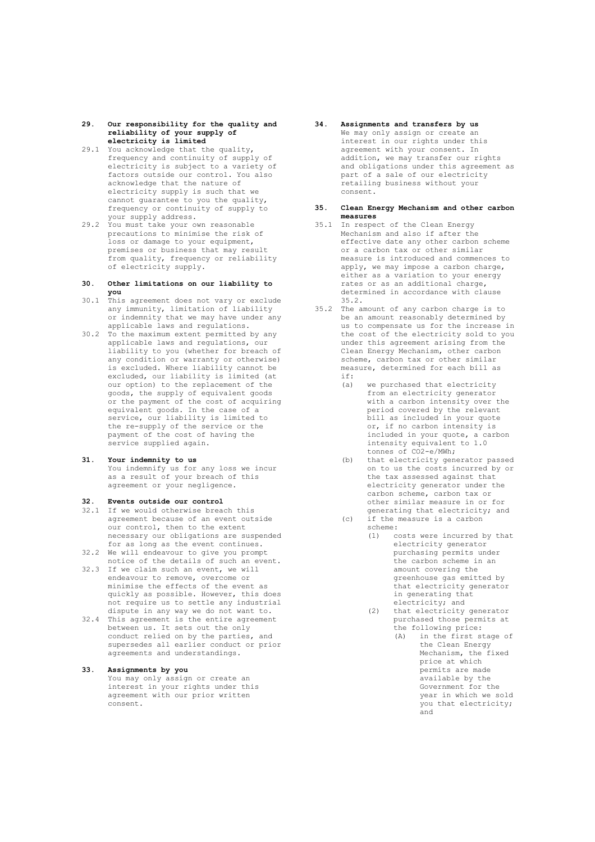- **29. Our responsibility for the quality and reliability of your supply of electricity is limited**
- 29.1 You acknowledge that the quality, frequency and continuity of supply of electricity is subject to a variety of factors outside our control. You also acknowledge that the nature of electricity supply is such that we cannot guarantee to you the quality, frequency or continuity of supply to your supply address.
- 29.2 You must take your own reasonable precautions to minimise the risk of .<br>loss or damage to your equipment, premises or business that may result from quality, frequency or reliability of electricity supply.

#### **30. Other limitations on our liability to you**

- 30.1 This agreement does not vary or exclude any immunity, limitation of liability or indemnity that we may have under any applicable laws and regulations.
- 30.2 To the maximum extent permitted by any applicable laws and regulations, our liability to you (whether for breach of any condition or warranty or otherwise) is excluded. Where liability cannot be excluded, our liability is limited (at our option) to the replacement of the goods, the supply of equivalent goods or the payment of the cost of acquiring equivalent goods. In the case of a service, our liability is limited to the re-supply of the service or the payment of the cost of having the service supplied again.
- **31. Your indemnity to us** You indemnify us for any loss we incur as a result of your breach of this agreement or your negligence.

# **32. Events outside our control**

- 32.1 If we would otherwise breach this agreement because of an event outside our control, then to the extent necessary our obligations are suspended for as long as the event continues.
- 32.2 We will endeavour to give you prompt notice of the details of such an event. 32.3 If we claim such an event, we will
- endeavour to remove, overcome or minimise the effects of the event as quickly as possible. However, this does not require us to settle any industrial dispute in any way we do not want to.
- 32.4 This agreement is the entire agreement between us. It sets out the only conduct relied on by the parties, and supersedes all earlier conduct or prior agreements and understandings.

# **33. Assignments by you**

You may only assign or create an interest in your rights under this agreement with our prior written consent.

**34. Assignments and transfers by us** We may only assign or create an interest in our rights under this agreement with your consent. In addition, we may transfer our rights and obligations under this agreement as part of a sale of our electricity .<br>retailing business without your consent.

#### **35. Clean Energy Mechanism and other carbon measures**

- 35.1 In respect of the Clean Energy Mechanism and also if after the effective date any other carbon scheme or a carbon tax or other similar measure is introduced and commences to apply, we may impose a carbon charge, either as a variation to your energy rates or as an additional charge, determined in accordance with clause 35.2.
- 35.2 The amount of any carbon charge is to be an amount reasonably determined by us to compensate us for the increase in the cost of the electricity sold to you under this agreement arising from the Clean Energy Mechanism, other carbon scheme, carbon tax or other similar measure, determined for each bill as if:
	- (a) we purchased that electricity from an electricity generator with a carbon intensity over the period covered by the relevant bill as included in your quote or, if no carbon intensity is included in your quote, a carbon intensity equivalent to 1.0 tonnes of CO2-e/MWh;
	- (b) that electricity generator passed on to us the costs incurred by or the tax assessed against that electricity generator under the carbon scheme, carbon tax or other similar measure in or for generating that electricity; and
	- (c) if the measure is a carbon scheme:
		- (1) costs were incurred by that electricity generator purchasing permits under the carbon scheme in an amount covering the greenhouse gas emitted by that electricity generator in generating that electricity; and
		- (2) that electricity generator purchased those permits at the following price:
			- (A) in the first stage of the Clean Energy Mechanism, the fixed price at which permits are made available by the Government for the year in which we sold you that electricity; and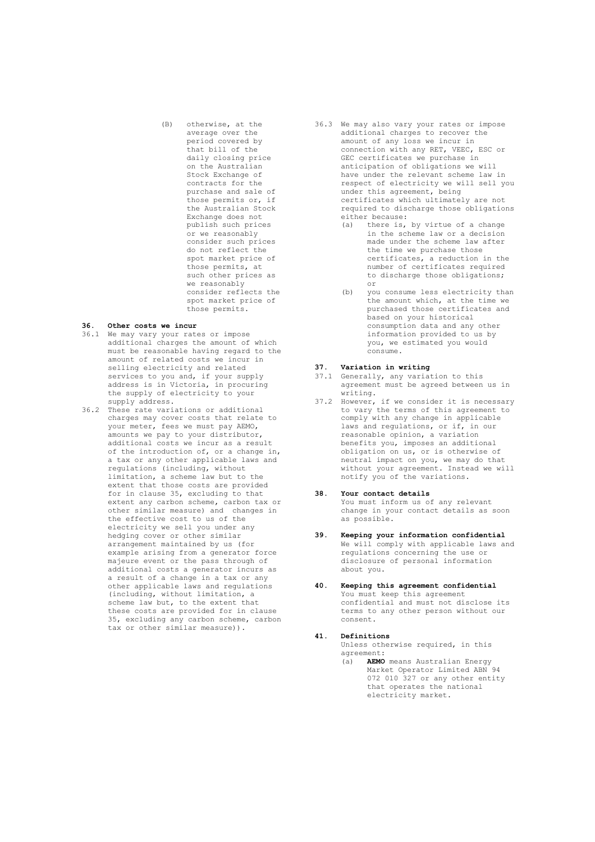(B) otherwise, at the average over the period covered by that bill of the daily closing price on the Australian Stock Exchange of contracts for the purchase and sale of those permits or, if the Australian Stock Exchange does not publish such prices or we reasonably consider such prices do not reflect the spot market price of those permits, at such other prices as we reasonably consider reflects the spot market price of those permits.

## **36. Other costs we incur**

- 36.1 We may vary your rates or impose additional charges the amount of which must be reasonable having regard to the amount of related costs we incur in selling electricity and related services to you and, if your supply address is in Victoria, in procuring the supply of electricity to your supply address.
- 36.2 These rate variations or additional charges may cover costs that relate to your meter, fees we must pay AEMO, amounts we pay to your distributor, additional costs we incur as a result of the introduction of, or a change in, a tax or any other applicable laws and regulations (including, without limitation, a scheme law but to the extent that those costs are provided for in clause 35, excluding to that extent any carbon scheme, carbon tax or other similar measure) and changes in the effective cost to us of the electricity we sell you under any hedging cover or other similar arrangement maintained by us (for example arising from a generator force majeure event or the pass through of additional costs a generator incurs as a result of a change in a tax or any other applicable laws and regulations (including, without limitation, a scheme law but, to the extent that these costs are provided for in clause 35, excluding any carbon scheme, carbon tax or other similar measure)).
- 36.3 We may also vary your rates or impose additional charges to recover the amount of any loss we incur in connection with any RET, VEEC, ESC or GEC certificates we purchase in anticipation of obligations we will have under the relevant scheme law in respect of electricity we will sell you under this agreement, being certificates which ultimately are not required to discharge those obligations either because:<br>(a) there is,
	- there is, by virtue of a change in the scheme law or a decision made under the scheme law after the time we purchase those certificates, a reduction in the number of certificates required to discharge those obligations; or
	- (b) you consume less electricity than the amount which, at the time we purchased those certificates and based on your historical consumption data and any other information provided to us by you, we estimated you would consume.

# **37. Variation in writing**

- 37.1 Generally, any variation to this agreement must be agreed between us in writing.
- 37.2 However, if we consider it is necessary to vary the terms of this agreement to comply with any change in applicable laws and regulations, or if, in our reasonable opinion, a variation benefits you, imposes an additional obligation on us, or is otherwise of neutral impact on you, we may do that without your agreement. Instead we will notify you of the variations.

# **38. Your contact details**

You must inform us of any relevant change in your contact details as soon as possible.

- **39. Keeping your information confidential** We will comply with applicable laws and regulations concerning the use or disclosure of personal information about you.
- **40. Keeping this agreement confidential** You must keep this agreement confidential and must not disclose its terms to any other person without our consent.

#### **41. Definitions**

Unless otherwise required, in this agreement:

(a) **AEMO** means Australian Energy Market Operator Limited ABN 94 072 010 327 or any other entity that operates the national electricity market.